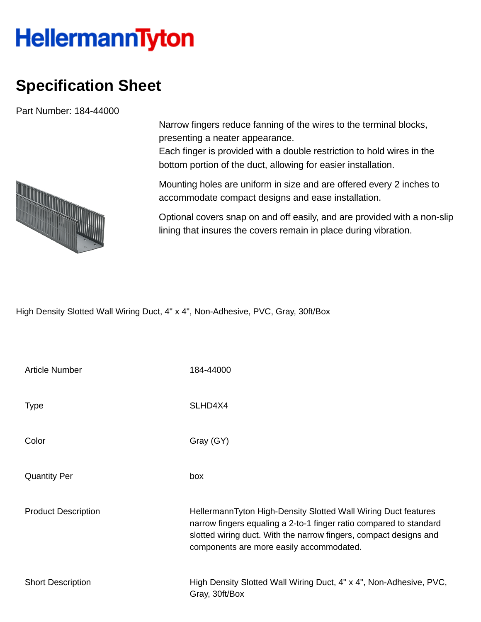## **HellermannTyton**

## **Specification Sheet**

Part Number: 184-44000



Narrow fingers reduce fanning of the wires to the terminal blocks, presenting a neater appearance.

Each finger is provided with a double restriction to hold wires in the bottom portion of the duct, allowing for easier installation.

Mounting holes are uniform in size and are offered every 2 inches to accommodate compact designs and ease installation.

Optional covers snap on and off easily, and are provided with a non-slip lining that insures the covers remain in place during vibration.

High Density Slotted Wall Wiring Duct, 4" x 4", Non-Adhesive, PVC, Gray, 30ft/Box

| <b>Article Number</b>      | 184-44000                                                                                                                                                                                                                                             |
|----------------------------|-------------------------------------------------------------------------------------------------------------------------------------------------------------------------------------------------------------------------------------------------------|
| <b>Type</b>                | SLHD4X4                                                                                                                                                                                                                                               |
| Color                      | Gray (GY)                                                                                                                                                                                                                                             |
| <b>Quantity Per</b>        | box                                                                                                                                                                                                                                                   |
| <b>Product Description</b> | HellermannTyton High-Density Slotted Wall Wiring Duct features<br>narrow fingers equaling a 2-to-1 finger ratio compared to standard<br>slotted wiring duct. With the narrow fingers, compact designs and<br>components are more easily accommodated. |
| <b>Short Description</b>   | High Density Slotted Wall Wiring Duct, 4" x 4", Non-Adhesive, PVC,<br>Gray, 30ft/Box                                                                                                                                                                  |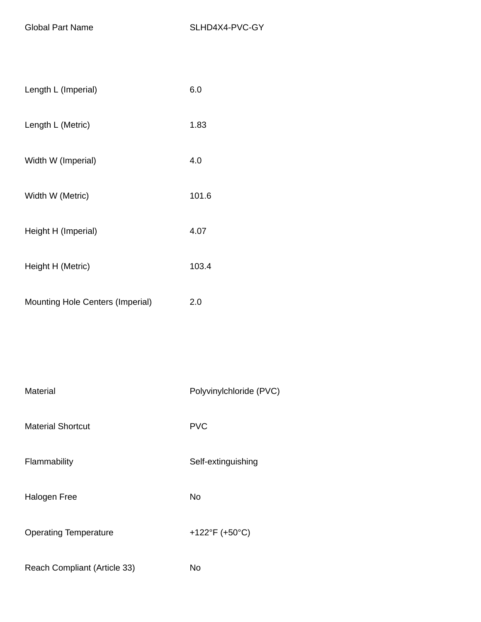| Length L (Imperial)                     | 6.0   |
|-----------------------------------------|-------|
| Length L (Metric)                       | 1.83  |
| Width W (Imperial)                      | 4.0   |
| Width W (Metric)                        | 101.6 |
| Height H (Imperial)                     | 4.07  |
| Height H (Metric)                       | 103.4 |
| <b>Mounting Hole Centers (Imperial)</b> | 2.0   |
|                                         |       |

| Material                     | Polyvinylchloride (PVC) |
|------------------------------|-------------------------|
| <b>Material Shortcut</b>     | <b>PVC</b>              |
| Flammability                 | Self-extinguishing      |
| <b>Halogen Free</b>          | No                      |
| <b>Operating Temperature</b> | +122°F (+50°C)          |
| Reach Compliant (Article 33) | No                      |